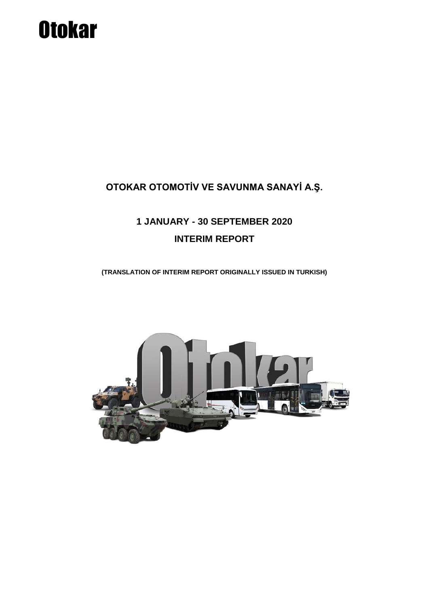# **Otokar**

### **OTOKAR OTOMOTİV VE SAVUNMA SANAYİ A.Ş.**

## **1 JANUARY - 30 SEPTEMBER 2020 INTERIM REPORT**

**(TRANSLATION OF INTERIM REPORT ORIGINALLY ISSUED IN TURKISH)**

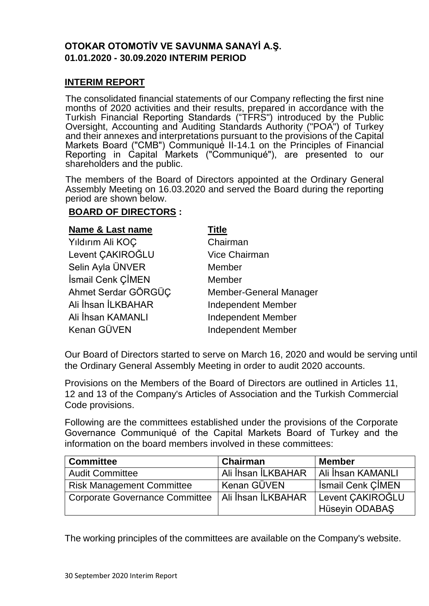#### **OTOKAR OTOMOTİV VE SAVUNMA SANAYİ A.Ş. 01.01.2020 - 30.09.2020 INTERIM PERIOD**

#### **INTERIM REPORT**

The consolidated financial statements of our Company reflecting the first nine months of 2020 activities and their results, prepared in accordance with the Turkish Financial Reporting Standards ("TFRS") introduced by the Public Oversight, Accounting and Auditing Standards Authority ("POA") of Turkey and their annexes and interpretations pursuant to the provisions of the Capital Markets Board ("CMB") Communiqué II-14.1 on the Principles of Financial Reporting in Capital Markets ("Communiqué"), are presented to our shareholders and the public.

The members of the Board of Directors appointed at the Ordinary General Assembly Meeting on 16.03.2020 and served the Board during the reporting period are shown below.

#### **BOARD OF DIRECTORS :**

| <b>Name &amp; Last name</b> | Title                         |
|-----------------------------|-------------------------------|
| Yıldırım Ali KOÇ            | Chairman                      |
| Levent CAKIROĞLU            | <b>Vice Chairman</b>          |
| Selin Ayla ÜNVER            | Member                        |
| İsmail Cenk ÇİMEN           | Member                        |
| Ahmet Serdar GÖRGÜC         | <b>Member-General Manager</b> |
| Ali İhsan İLKBAHAR          | <b>Independent Member</b>     |
| Ali İhsan KAMANLI           | <b>Independent Member</b>     |
| Kenan GÜVEN                 | <b>Independent Member</b>     |

Our Board of Directors started to serve on March 16, 2020 and would be serving until the Ordinary General Assembly Meeting in order to audit 2020 accounts.

Provisions on the Members of the Board of Directors are outlined in Articles 11, 12 and 13 of the Company's Articles of Association and the Turkish Commercial Code provisions.

Following are the committees established under the provisions of the Corporate Governance Communiqué of the Capital Markets Board of Turkey and the information on the board members involved in these committees:

| <b>Committee</b>                                    | <b>Chairman</b>    | <b>Member</b>            |
|-----------------------------------------------------|--------------------|--------------------------|
| <b>Audit Committee</b>                              | Ali İhsan İLKBAHAR | Ali İhsan KAMANLI        |
| <b>Risk Management Committee</b>                    | ' Kenan GÜVEN      | <b>Ismail Cenk CIMEN</b> |
| Corporate Governance Committee   Ali İhsan İLKBAHAR |                    | Levent CAKIROĞLU         |
|                                                     |                    | Hüseyin ODABAŞ           |

The working principles of the committees are available on the Company's website.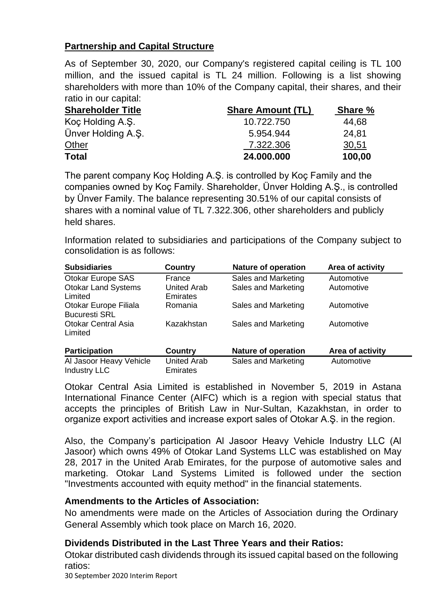#### **Partnership and Capital Structure**

As of September 30, 2020, our Company's registered capital ceiling is TL 100 million, and the issued capital is TL 24 million. Following is a list showing shareholders with more than 10% of the Company capital, their shares, and their ratio in our capital:

| <b>Shareholder Title</b> | <b>Share Amount (TL)</b> | <b>Share %</b> |
|--------------------------|--------------------------|----------------|
| Koç Holding A.Ş.         | 10.722.750               | 44,68          |
| Ünver Holding A.S.       | 5.954.944                | 24,81          |
| <b>Other</b>             | 7.322.306                | 30,51          |
| <b>Total</b>             | 24.000.000               | 100,00         |

The parent company Koç Holding A.Ş. is controlled by Koç Family and the companies owned by Koç Family. Shareholder, Ünver Holding A.Ş., is controlled by Ünver Family. The balance representing 30.51% of our capital consists of shares with a nominal value of TL 7.322.306, other shareholders and publicly held shares.

Information related to subsidiaries and participations of the Company subject to consolidation is as follows:

| <b>Subsidiaries</b>                            | Country                               | <b>Nature of operation</b> | Area of activity |
|------------------------------------------------|---------------------------------------|----------------------------|------------------|
| Otokar Europe SAS                              | France                                | Sales and Marketing        | Automotive       |
| <b>Otokar Land Systems</b><br>Limited          | <b>United Arab</b><br><b>Emirates</b> | Sales and Marketing        | Automotive       |
| Otokar Europe Filiala<br><b>Bucuresti SRL</b>  | Romania                               | Sales and Marketing        | Automotive       |
| <b>Otokar Central Asia</b><br>Limited          | Kazakhstan                            | Sales and Marketing        | Automotive       |
| <b>Participation</b>                           | <b>Country</b>                        | <b>Nature of operation</b> | Area of activity |
| Al Jasoor Heavy Vehicle<br><b>Industry LLC</b> | <b>United Arab</b><br><b>Emirates</b> | Sales and Marketing        | Automotive       |

Otokar Central Asia Limited is established in November 5, 2019 in Astana International Finance Center (AIFC) which is a region with special status that accepts the principles of British Law in Nur-Sultan, Kazakhstan, in order to organize export activities and increase export sales of Otokar A.Ş. in the region.

Also, the Company's participation Al Jasoor Heavy Vehicle Industry LLC (Al Jasoor) which owns 49% of Otokar Land Systems LLC was established on May 28, 2017 in the United Arab Emirates, for the purpose of automotive sales and marketing. Otokar Land Systems Limited is followed under the section "Investments accounted with equity method" in the financial statements.

#### **Amendments to the Articles of Association:**

No amendments were made on the Articles of Association during the Ordinary General Assembly which took place on March 16, 2020.

#### **Dividends Distributed in the Last Three Years and their Ratios:**

Otokar distributed cash dividends through its issued capital based on the following ratios:

30 September 2020 Interim Report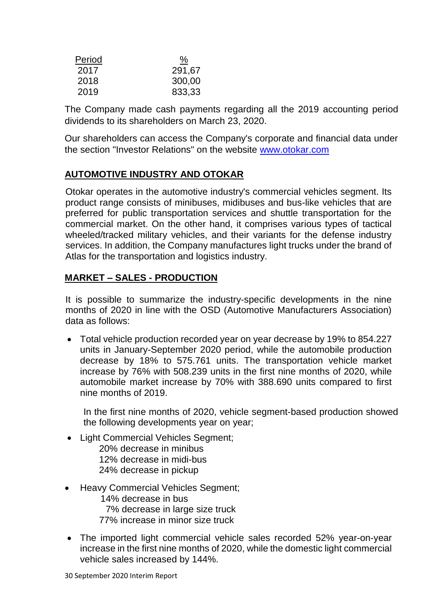| Period | <u>%</u> |
|--------|----------|
| 2017   | 291,67   |
| 2018   | 300,00   |
| 2019   | 833,33   |

The Company made cash payments regarding all the 2019 accounting period dividends to its shareholders on March 23, 2020.

Our shareholders can access the Company's corporate and financial data under the section "Investor Relations" on the website [www.otokar.com](http://www.otokar.com/)

#### **AUTOMOTIVE INDUSTRY AND OTOKAR**

Otokar operates in the automotive industry's commercial vehicles segment. Its product range consists of minibuses, midibuses and bus-like vehicles that are preferred for public transportation services and shuttle transportation for the commercial market. On the other hand, it comprises various types of tactical wheeled/tracked military vehicles, and their variants for the defense industry services. In addition, the Company manufactures light trucks under the brand of Atlas for the transportation and logistics industry.

#### **MARKET – SALES - PRODUCTION**

It is possible to summarize the industry-specific developments in the nine months of 2020 in line with the OSD (Automotive Manufacturers Association) data as follows:

 Total vehicle production recorded year on year decrease by 19% to 854.227 units in January-September 2020 period, while the automobile production decrease by 18% to 575.761 units. The transportation vehicle market increase by 76% with 508.239 units in the first nine months of 2020, while automobile market increase by 70% with 388.690 units compared to first nine months of 2019.

In the first nine months of 2020, vehicle segment-based production showed the following developments year on year;

- Light Commercial Vehicles Segment: 20% decrease in minibus 12% decrease in midi-bus 24% decrease in pickup
- Heavy Commercial Vehicles Segment;

 14% decrease in bus 7% decrease in large size truck 77% increase in minor size truck

 The imported light commercial vehicle sales recorded 52% year-on-year increase in the first nine months of 2020, while the domestic light commercial vehicle sales increased by 144%.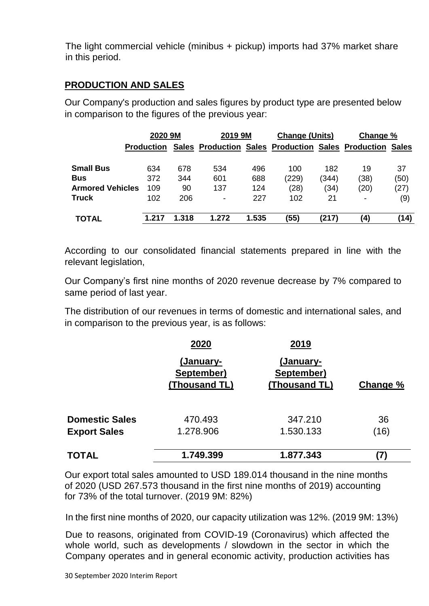The light commercial vehicle (minibus + pickup) imports had 37% market share in this period.

#### **PRODUCTION AND SALES**

Our Company's production and sales figures by product type are presented below in comparison to the figures of the previous year:

|                         | 2020 9M           |              | 2019 9M                  |       | <b>Change (Units)</b> |       | Change %                                                  |      |
|-------------------------|-------------------|--------------|--------------------------|-------|-----------------------|-------|-----------------------------------------------------------|------|
|                         | <b>Production</b> | <b>Sales</b> |                          |       |                       |       | <b>Production Sales Production Sales Production Sales</b> |      |
| <b>Small Bus</b>        | 634               | 678          | 534                      | 496   | 100                   | 182   | 19                                                        | 37   |
| <b>Bus</b>              | 372               | 344          | 601                      | 688   | (229)                 | (344) | (38)                                                      | (50) |
| <b>Armored Vehicles</b> | 109               | 90           | 137                      | 124   | (28)                  | (34)  | (20)                                                      | (27) |
| <b>Truck</b>            | 102               | 206          | $\overline{\phantom{a}}$ | 227   | 102                   | 21    | -                                                         | (9)  |
| <b>TOTAL</b>            | 1.217             | 1.318        | 1.272                    | 1.535 | (55)                  | (217) | (4)                                                       | (14) |

According to our consolidated financial statements prepared in line with the relevant legislation,

Our Company's first nine months of 2020 revenue decrease by 7% compared to same period of last year.

The distribution of our revenues in terms of domestic and international sales, and in comparison to the previous year, is as follows:

|                       | 2020                                            | 2019                                     |          |
|-----------------------|-------------------------------------------------|------------------------------------------|----------|
|                       | <u>(January-</u><br>September)<br>(Thousand TL) | (January-<br>September)<br>(Thousand TL) | Change % |
| <b>Domestic Sales</b> | 470.493                                         | 347.210                                  | 36       |
| <b>Export Sales</b>   | 1.278.906                                       | 1.530.133                                | (16)     |
| <b>TOTAL</b>          | 1.749.399                                       | 1.877.343                                |          |

Our export total sales amounted to USD 189.014 thousand in the nine months of 2020 (USD 267.573 thousand in the first nine months of 2019) accounting for 73% of the total turnover. (2019 9M: 82%)

In the first nine months of 2020, our capacity utilization was 12%. (2019 9M: 13%)

Due to reasons, originated from COVID-19 (Coronavirus) which affected the whole world, such as developments / slowdown in the sector in which the Company operates and in general economic activity, production activities has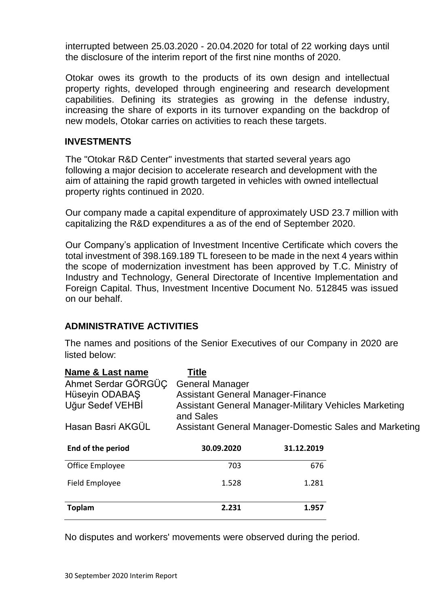interrupted between 25.03.2020 - 20.04.2020 for total of 22 working days until the disclosure of the interim report of the first nine months of 2020.

Otokar owes its growth to the products of its own design and intellectual property rights, developed through engineering and research development capabilities. Defining its strategies as growing in the defense industry, increasing the share of exports in its turnover expanding on the backdrop of new models, Otokar carries on activities to reach these targets.

#### **INVESTMENTS**

The "Otokar R&D Center" investments that started several years ago following a major decision to accelerate research and development with the aim of attaining the rapid growth targeted in vehicles with owned intellectual property rights continued in 2020.

Our company made a capital expenditure of approximately USD 23.7 million with capitalizing the R&D expenditures a as of the end of September 2020.

Our Company's application of Investment Incentive Certificate which covers the total investment of 398.169.189 TL foreseen to be made in the next 4 years within the scope of modernization investment has been approved by T.C. Ministry of Industry and Technology, General Directorate of Incentive Implementation and Foreign Capital. Thus, Investment Incentive Document No. 512845 was issued on our behalf.

#### **ADMINISTRATIVE ACTIVITIES**

The names and positions of the Senior Executives of our Company in 2020 are listed below:

| Name & Last name    | <b>Title</b>                                                       |            |                                                        |
|---------------------|--------------------------------------------------------------------|------------|--------------------------------------------------------|
| Ahmet Serdar GÖRGÜÇ | <b>General Manager</b>                                             |            |                                                        |
| Hüseyin ODABAŞ      | <b>Assistant General Manager-Finance</b>                           |            |                                                        |
| Uğur Sedef VEHBİ    | Assistant General Manager-Military Vehicles Marketing<br>and Sales |            |                                                        |
| Hasan Basri AKGÜL   |                                                                    |            | Assistant General Manager-Domestic Sales and Marketing |
| End of the period   | 30.09.2020                                                         | 31.12.2019 |                                                        |
| Office Employee     | 703                                                                | 676        |                                                        |
| Field Employee      | 1.528                                                              | 1.281      |                                                        |
| <b>Toplam</b>       | 2.231                                                              | 1.957      |                                                        |

No disputes and workers' movements were observed during the period.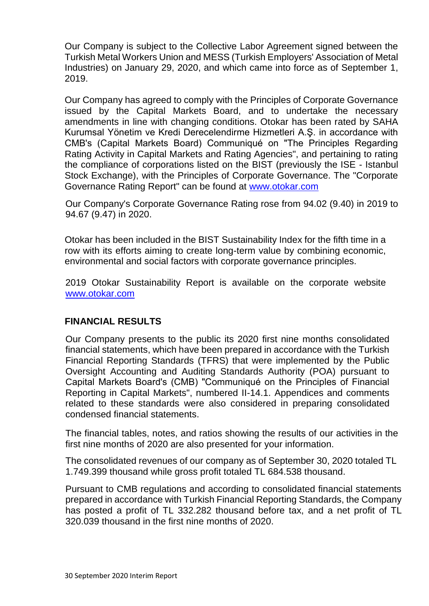Our Company is subject to the Collective Labor Agreement signed between the Turkish Metal Workers Union and MESS (Turkish Employers' Association of Metal Industries) on January 29, 2020, and which came into force as of September 1, 2019.

Our Company has agreed to comply with the Principles of Corporate Governance issued by the Capital Markets Board, and to undertake the necessary amendments in line with changing conditions. Otokar has been rated by SAHA Kurumsal Yönetim ve Kredi Derecelendirme Hizmetleri A.Ş. in accordance with CMB's (Capital Markets Board) Communiqué on "The Principles Regarding Rating Activity in Capital Markets and Rating Agencies", and pertaining to rating the compliance of corporations listed on the BIST (previously the ISE - Istanbul Stock Exchange), with the Principles of Corporate Governance. The "Corporate Governance Rating Report" can be found at [www.otokar.com](http://www.otokar.com/)

Our Company's Corporate Governance Rating rose from 94.02 (9.40) in 2019 to 94.67 (9.47) in 2020.

Otokar has been included in the BIST Sustainability Index for the fifth time in a row with its efforts aiming to create long-term value by combining economic, environmental and social factors with corporate governance principles.

2019 Otokar Sustainability Report is available on the corporate website [www.otokar.com](http://www.otokar.com/)

#### **FINANCIAL RESULTS**

Our Company presents to the public its 2020 first nine months consolidated financial statements, which have been prepared in accordance with the Turkish Financial Reporting Standards (TFRS) that were implemented by the Public Oversight Accounting and Auditing Standards Authority (POA) pursuant to Capital Markets Board's (CMB) "Communiqué on the Principles of Financial Reporting in Capital Markets", numbered II-14.1. Appendices and comments related to these standards were also considered in preparing consolidated condensed financial statements.

The financial tables, notes, and ratios showing the results of our activities in the first nine months of 2020 are also presented for your information.

The consolidated revenues of our company as of September 30, 2020 totaled TL 1.749.399 thousand while gross profit totaled TL 684.538 thousand.

Pursuant to CMB regulations and according to consolidated financial statements prepared in accordance with Turkish Financial Reporting Standards, the Company has posted a profit of TL 332.282 thousand before tax, and a net profit of TL 320.039 thousand in the first nine months of 2020.